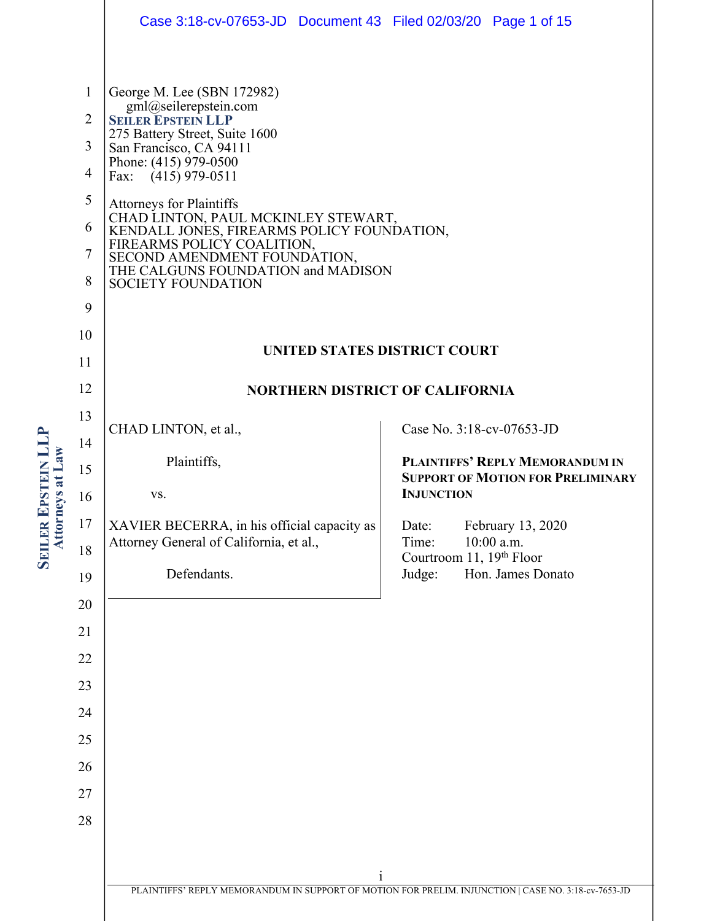|                                                            |                                                                                                 | Case 3:18-cv-07653-JD  Document 43  Filed 02/03/20  Page 1 of 15                                                                                                                                                                                                                                                                                                                                                                                                                                |                                                                                                              |  |
|------------------------------------------------------------|-------------------------------------------------------------------------------------------------|-------------------------------------------------------------------------------------------------------------------------------------------------------------------------------------------------------------------------------------------------------------------------------------------------------------------------------------------------------------------------------------------------------------------------------------------------------------------------------------------------|--------------------------------------------------------------------------------------------------------------|--|
|                                                            | $\mathbf{1}$<br>$\overline{2}$<br>3<br>$\overline{4}$<br>5<br>6<br>$\tau$<br>8<br>9<br>10<br>11 | George M. Lee (SBN 172982)<br>gml@seilerepstein.com<br><b>SEILER EPSTEIN LLP</b><br>275 Battery Street, Suite 1600<br>San Francisco, CA 94111<br>Phone: (415) 979-0500<br>Fax: $(415)$ 979-0511<br><b>Attorneys for Plaintiffs</b><br>CHAD LINTON, PAUL MCKINLEY STEWART,<br>KENDALL JONES, FIREARMS POLICY FOUNDATION,<br>FIREARMS POLICY COALITION,<br>SECOND AMENDMENT FOUNDATION,<br>THE CALGUNS FOUNDATION and MADISON<br><b>SOCIETY FOUNDATION</b><br><b>UNITED STATES DISTRICT COURT</b> |                                                                                                              |  |
|                                                            | 12                                                                                              | <b>NORTHERN DISTRICT OF CALIFORNIA</b>                                                                                                                                                                                                                                                                                                                                                                                                                                                          |                                                                                                              |  |
|                                                            | 13<br>14                                                                                        | CHAD LINTON, et al.,                                                                                                                                                                                                                                                                                                                                                                                                                                                                            | Case No. 3:18-cv-07653-JD                                                                                    |  |
| EPSTEIN LL<br>rneys at Law<br><b>SEILER</b><br><b>Atto</b> | 15<br>16                                                                                        | Plaintiffs,<br>VS.                                                                                                                                                                                                                                                                                                                                                                                                                                                                              | <b>PLAINTIFFS' REPLY MEMORANDUM IN</b><br><b>SUPPORT OF MOTION FOR PRELIMINARY</b><br><b>INJUNCTION</b>      |  |
|                                                            | 17<br>18<br>19<br>20<br>21<br>22<br>23<br>24<br>25<br>26<br>27<br>28                            | XAVIER BECERRA, in his official capacity as<br>Attorney General of California, et al.,<br>Defendants.                                                                                                                                                                                                                                                                                                                                                                                           | February 13, 2020<br>Date:<br>10:00 a.m.<br>Time:<br>Courtroom 11, 19th Floor<br>Judge:<br>Hon. James Donato |  |
|                                                            |                                                                                                 | $\mathbf{1}$<br>PLAINTIFFS' REPLY MEMORANDUM IN SUPPORT OF MOTION FOR PRELIM. INJUNCTION   CASE NO. 3:18-cv-7653-JD                                                                                                                                                                                                                                                                                                                                                                             |                                                                                                              |  |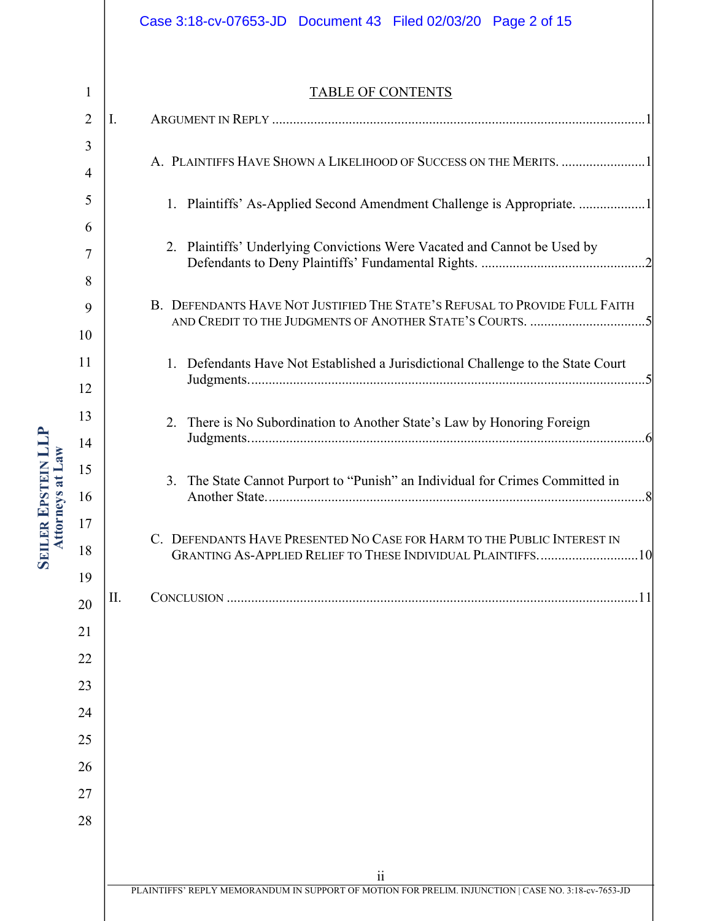# ii PLAINTIFFS' REPLY MEMORANDUM IN SUPPORT OF MOTION FOR PRELIM. INJUNCTION | CASE NO. 3:18-cv-7653-JD 1 2 3 4 5 6 7 8 9 10 11 12 13 14 15 16 17 18 19 20 21 22 23 24 25 26 27 28 TABLE OF CONTENTS I. ARGUMENT IN REPLY ...........................................................................................................1 A. PLAINTIFFS HAVE SHOWN A LIKELIHOOD OF SUCCESS ON THE MERITS. ........................1 1. Plaintiffs' As-Applied Second Amendment Challenge is Appropriate. ...................1 2. Plaintiffs' Underlying Convictions Were Vacated and Cannot be Used by Defendants to Deny Plaintiffs' Fundamental Rights. ...............................................2 B. DEFENDANTS HAVE NOT JUSTIFIED THE STATE'S REFUSAL TO PROVIDE FULL FAITH AND CREDIT TO THE JUDGMENTS OF ANOTHER STATE'S COURTS. .................................5 1. Defendants Have Not Established a Jurisdictional Challenge to the State Court Judgments..................................................................................................................5 2. There is No Subordination to Another State's Law by Honoring Foreign Judgments..................................................................................................................6 3. The State Cannot Purport to "Punish" an Individual for Crimes Committed in Another State.............................................................................................................8 C. DEFENDANTS HAVE PRESENTED NO CASE FOR HARM TO THE PUBLIC INTEREST IN GRANTING AS-APPLIED RELIEF TO THESE INDIVIDUAL PLAINTIFFS.............................10 II. CONCLUSION ......................................................................................................................11 Case 3:18-cv-07653-JD Document 43 Filed 02/03/20 Page 2 of 15

**SEILER EPSTEIN LLP EPSTEIN LLP** Attorneys at Law **Attorneys at Law**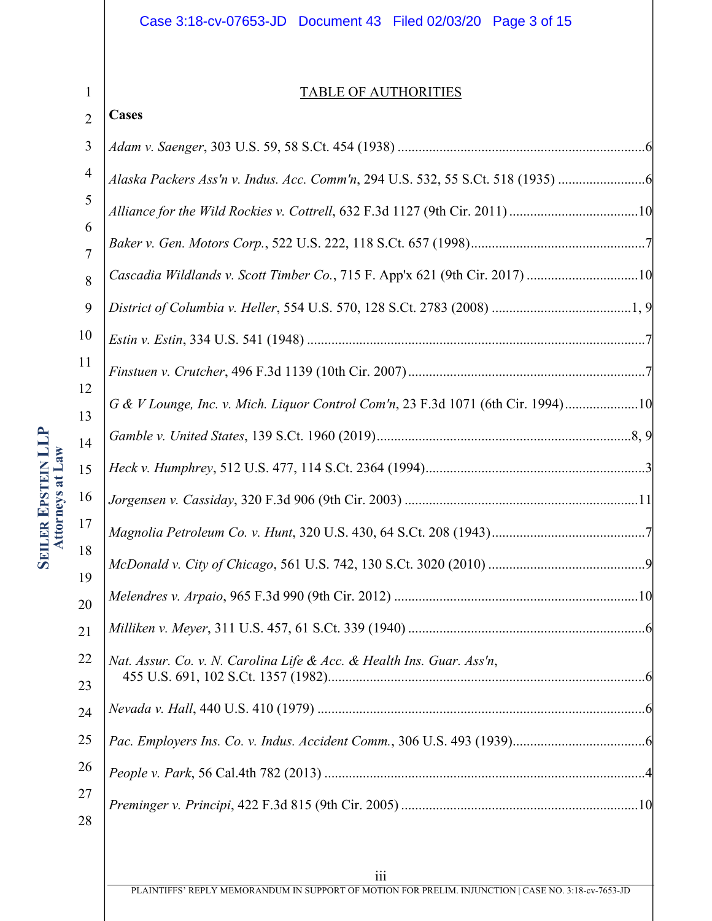# Case 3:18-cv-07653-JD Document 43 Filed 02/03/20 Page 3 of 15

# TABLE OF AUTHORITIES

#### 2 **Cases**

1

| 3                   |                                                                                  |
|---------------------|----------------------------------------------------------------------------------|
| 4                   | Alaska Packers Ass'n v. Indus. Acc. Comm'n, 294 U.S. 532, 55 S.Ct. 518 (1935)    |
| 5                   |                                                                                  |
| 6<br>$\overline{7}$ |                                                                                  |
| 8                   | Cascadia Wildlands v. Scott Timber Co., 715 F. App'x 621 (9th Cir. 2017) 10      |
| 9                   |                                                                                  |
| 10                  |                                                                                  |
| 11                  |                                                                                  |
| 12<br>13            | G & V Lounge, Inc. v. Mich. Liquor Control Com'n, 23 F.3d 1071 (6th Cir. 1994)10 |
| 14                  |                                                                                  |
| 15                  |                                                                                  |
| 16                  |                                                                                  |
| 17                  |                                                                                  |
| 18                  |                                                                                  |
| 19<br>20            |                                                                                  |
| 21                  |                                                                                  |
| 22                  | Nat. Assur. Co. v. N. Carolina Life & Acc. & Health Ins. Guar. Ass'n,            |
| 23                  |                                                                                  |
| 24                  |                                                                                  |
| 25                  |                                                                                  |
| 26                  |                                                                                  |
| 27<br>28            |                                                                                  |

PLAINTIFFS' REPLY MEMORANDUM IN SUPPORT OF MOTION FOR PRELIM. INJUNCTION | CASE NO. 3:18-cv-7653-JD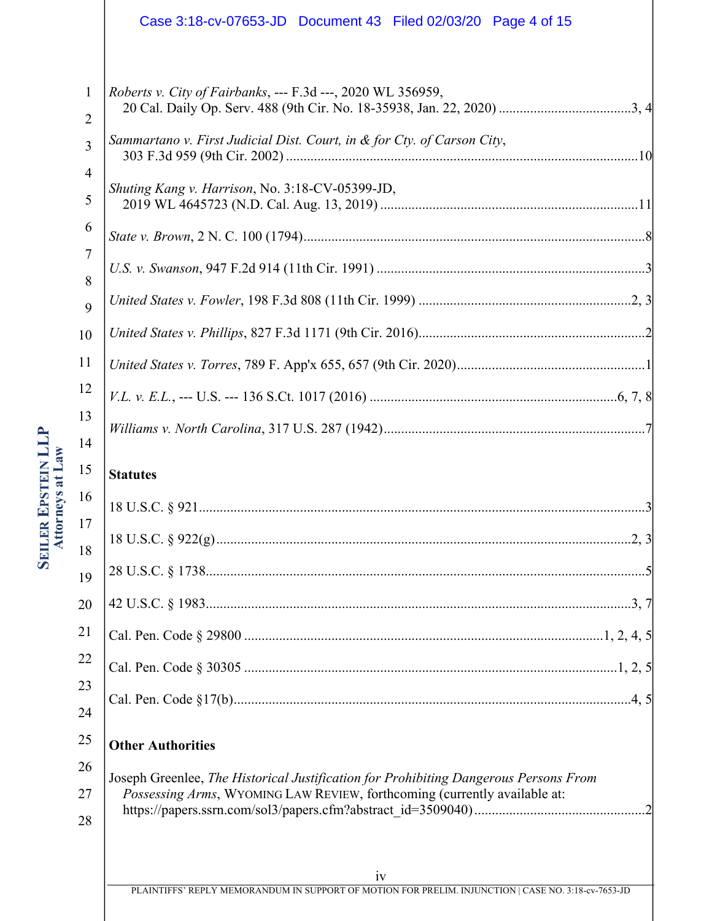|                                                                                       | Case 3:18-cv-07653-JD  Document 43  Filed 02/03/20  Page 4 of 15                     |
|---------------------------------------------------------------------------------------|--------------------------------------------------------------------------------------|
|                                                                                       |                                                                                      |
| $\mathbf{1}$<br>$\overline{2}$                                                        | <i>Roberts v. City of Fairbanks</i> , --- F.3d ---, 2020 WL 356959,                  |
| 3                                                                                     | Sammartano v. First Judicial Dist. Court, in & for Cty. of Carson City,              |
| $\overline{4}$<br>5                                                                   | Shuting Kang v. Harrison, No. 3:18-CV-05399-JD,                                      |
| 6                                                                                     |                                                                                      |
| $\overline{7}$<br>8                                                                   |                                                                                      |
| 9                                                                                     |                                                                                      |
| 10                                                                                    |                                                                                      |
| 11                                                                                    |                                                                                      |
| 12                                                                                    |                                                                                      |
| 13<br>14                                                                              |                                                                                      |
| 15                                                                                    | <b>Statutes</b>                                                                      |
| 16                                                                                    |                                                                                      |
| 17<br>18                                                                              |                                                                                      |
| 19                                                                                    |                                                                                      |
| 20                                                                                    |                                                                                      |
| 21                                                                                    |                                                                                      |
| 22                                                                                    |                                                                                      |
| 23                                                                                    |                                                                                      |
| 24                                                                                    |                                                                                      |
| 25                                                                                    | <b>Other Authorities</b>                                                             |
| 26                                                                                    | Joseph Greenlee, The Historical Justification for Prohibiting Dangerous Persons From |
| Possessing Arms, WYOMING LAW REVIEW, forthcoming (currently available at:<br>27<br>28 |                                                                                      |
|                                                                                       |                                                                                      |
|                                                                                       | iv                                                                                   |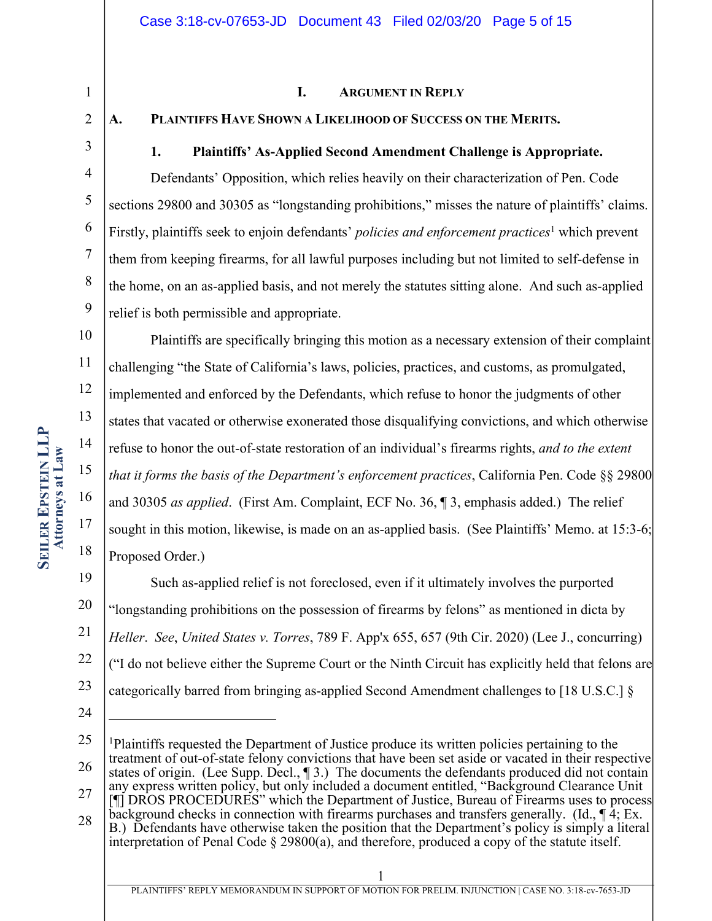### **I. ARGUMENT IN REPLY**

## **A. PLAINTIFFS HAVE SHOWN A LIKELIHOOD OF SUCCESS ON THE MERITS.**

1

2

3

4

5

6

7

8

9

# **1. Plaintiffs' As-Applied Second Amendment Challenge is Appropriate.**

Defendants' Opposition, which relies heavily on their characterization of Pen. Code sections 29800 and 30305 as "longstanding prohibitions," misses the nature of plaintiffs' claims. Firstly, plaintiffs seek to enjoin defendants' *policies and enforcement practices*<sup>1</sup> which prevent them from keeping firearms, for all lawful purposes including but not limited to self-defense in the home, on an as-applied basis, and not merely the statutes sitting alone. And such as-applied relief is both permissible and appropriate.

10 11 12 13 14 15 16 17 18 Plaintiffs are specifically bringing this motion as a necessary extension of their complaint challenging "the State of California's laws, policies, practices, and customs, as promulgated, implemented and enforced by the Defendants, which refuse to honor the judgments of other states that vacated or otherwise exonerated those disqualifying convictions, and which otherwise refuse to honor the out-of-state restoration of an individual's firearms rights, *and to the extent that it forms the basis of the Department's enforcement practices*, California Pen. Code §§ 29800 and 30305 *as applied*. (First Am. Complaint, ECF No. 36, ¶ 3, emphasis added.) The relief sought in this motion, likewise, is made on an as-applied basis. (See Plaintiffs' Memo. at 15:3-6; Proposed Order.)

19 20 21 22 23 Such as-applied relief is not foreclosed, even if it ultimately involves the purported "longstanding prohibitions on the possession of firearms by felons" as mentioned in dicta by *Heller*. *See*, *United States v. Torres*, 789 F. App'x 655, 657 (9th Cir. 2020) (Lee J., concurring) ("I do not believe either the Supreme Court or the Ninth Circuit has explicitly held that felons are categorically barred from bringing as-applied Second Amendment challenges to [18 U.S.C.] §

24

interpretation of Penal Code  $\S 29800(a)$ , and therefore, produced a copy of the statute itself.

<sup>25</sup> 26 27 28 <sup>1</sup>Plaintiffs requested the Department of Justice produce its written policies pertaining to the treatment of out-of-state felony convictions that have been set aside or vacated in their respective states of origin. (Lee Supp. Decl., ¶ 3.) The documents the defendants produced did not contain any express written policy, but only included a document entitled, "Background Clearance Unit [¶] DROS PROCEDURES" which the Department of Justice, Bureau of Firearms uses to process background checks in connection with firearms purchases and transfers generally. (Id., ¶ 4; Ex. B.) Defendants have otherwise taken the position that the Department's policy is simply a literal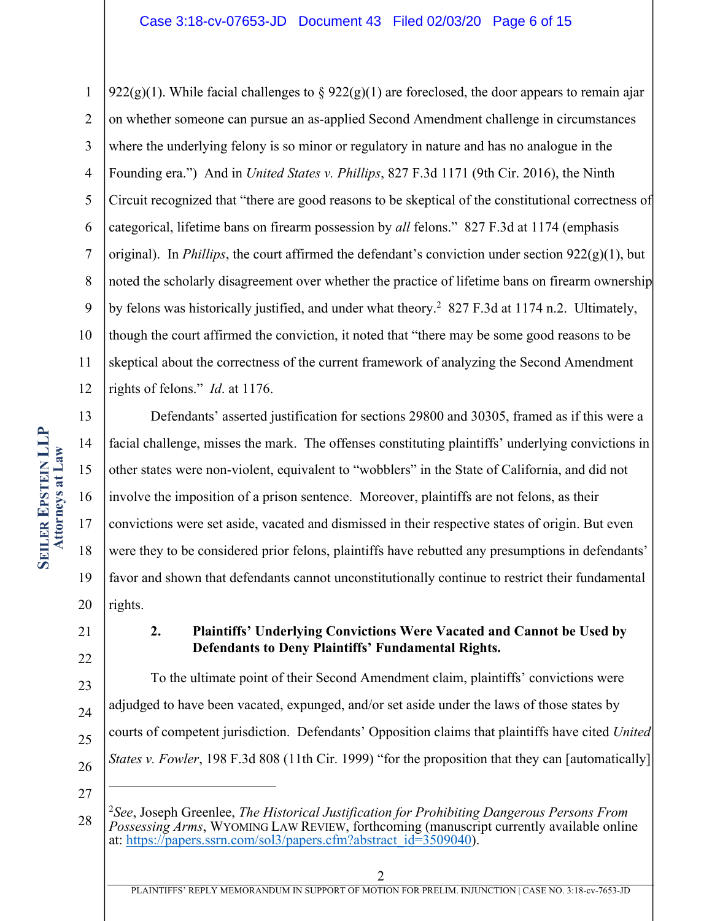1 2 3 4 5 6 7 8 9 10 11 12 922(g)(1). While facial challenges to § 922(g)(1) are foreclosed, the door appears to remain ajar on whether someone can pursue an as-applied Second Amendment challenge in circumstances where the underlying felony is so minor or regulatory in nature and has no analogue in the Founding era.") And in *United States v. Phillips*, 827 F.3d 1171 (9th Cir. 2016), the Ninth Circuit recognized that "there are good reasons to be skeptical of the constitutional correctness of categorical, lifetime bans on firearm possession by *all* felons." 827 F.3d at 1174 (emphasis original). In *Phillips*, the court affirmed the defendant's conviction under section  $922(g)(1)$ , but noted the scholarly disagreement over whether the practice of lifetime bans on firearm ownership by felons was historically justified, and under what theory.<sup>2</sup> 827 F.3d at 1174 n.2. Ultimately, though the court affirmed the conviction, it noted that "there may be some good reasons to be skeptical about the correctness of the current framework of analyzing the Second Amendment rights of felons." *Id*. at 1176.

13 14 15 16 17 18 19 20 Defendants' asserted justification for sections 29800 and 30305, framed as if this were a facial challenge, misses the mark. The offenses constituting plaintiffs' underlying convictions in other states were non-violent, equivalent to "wobblers" in the State of California, and did not involve the imposition of a prison sentence. Moreover, plaintiffs are not felons, as their convictions were set aside, vacated and dismissed in their respective states of origin. But even were they to be considered prior felons, plaintiffs have rebutted any presumptions in defendants' favor and shown that defendants cannot unconstitutionally continue to restrict their fundamental rights.

21 22

# **2. Plaintiffs' Underlying Convictions Were Vacated and Cannot be Used by Defendants to Deny Plaintiffs' Fundamental Rights.**

23 24 25 26 To the ultimate point of their Second Amendment claim, plaintiffs' convictions were adjudged to have been vacated, expunged, and/or set aside under the laws of those states by courts of competent jurisdiction. Defendants' Opposition claims that plaintiffs have cited *United States v. Fowler*, 198 F.3d 808 (11th Cir. 1999) "for the proposition that they can [automatically]

<sup>28</sup> <sup>2</sup>*See*, Joseph Greenlee, *The Historical Justification for Prohibiting Dangerous Persons From Possessing Arms*, WYOMING LAW REVIEW, forthcoming (manuscript currently available online at: https://papers.ssrn.com/sol3/papers.cfm?abstract\_id=3509040).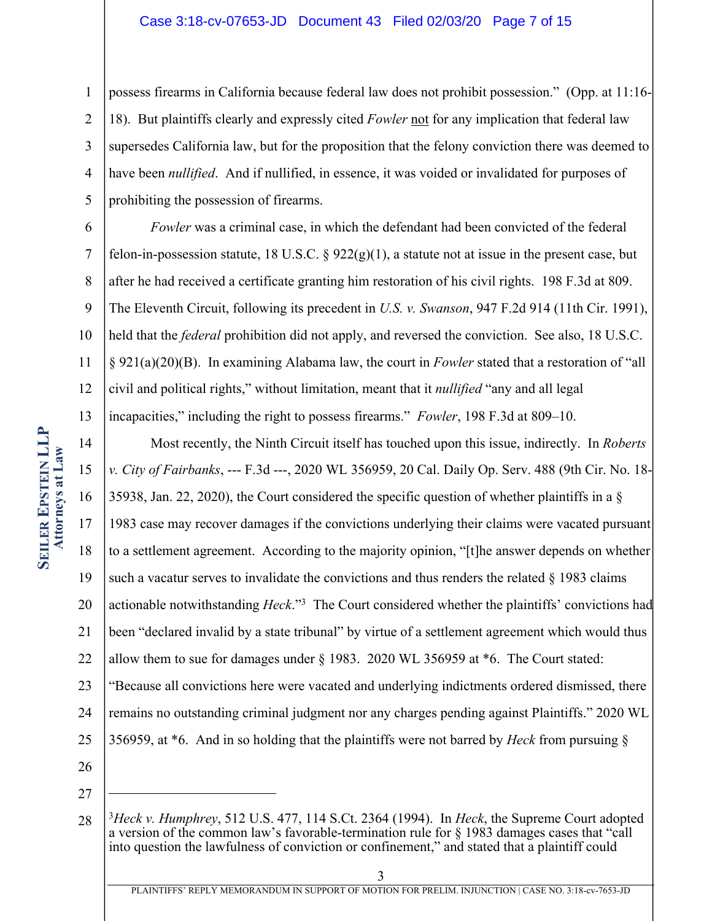#### Case 3:18-cv-07653-JD Document 43 Filed 02/03/20 Page 7 of 15

1 2 3 4 5 possess firearms in California because federal law does not prohibit possession." (Opp. at 11:16- 18). But plaintiffs clearly and expressly cited *Fowler* not for any implication that federal law supersedes California law, but for the proposition that the felony conviction there was deemed to have been *nullified*. And if nullified, in essence, it was voided or invalidated for purposes of prohibiting the possession of firearms.

6 7 8 9 10 11 12 13 *Fowler* was a criminal case, in which the defendant had been convicted of the federal felon-in-possession statute, 18 U.S.C.  $\S$  922(g)(1), a statute not at issue in the present case, but after he had received a certificate granting him restoration of his civil rights. 198 F.3d at 809. The Eleventh Circuit, following its precedent in *U.S. v. Swanson*, 947 F.2d 914 (11th Cir. 1991), held that the *federal* prohibition did not apply, and reversed the conviction. See also, 18 U.S.C. § 921(a)(20)(B). In examining Alabama law, the court in *Fowler* stated that a restoration of "all civil and political rights," without limitation, meant that it *nullified* "any and all legal incapacities," including the right to possess firearms." *Fowler*, 198 F.3d at 809–10.

14 15 16 17 18 19 20 21 22 23 24 25 26 Most recently, the Ninth Circuit itself has touched upon this issue, indirectly. In *Roberts v. City of Fairbanks*, --- F.3d ---, 2020 WL 356959, 20 Cal. Daily Op. Serv. 488 (9th Cir. No. 18- 35938, Jan. 22, 2020), the Court considered the specific question of whether plaintiffs in a  $\S$ 1983 case may recover damages if the convictions underlying their claims were vacated pursuant to a settlement agreement. According to the majority opinion, "[t]he answer depends on whether such a vacatur serves to invalidate the convictions and thus renders the related  $\S$  1983 claims actionable notwithstanding *Heck*."3 The Court considered whether the plaintiffs' convictions had been "declared invalid by a state tribunal" by virtue of a settlement agreement which would thus allow them to sue for damages under § 1983. 2020 WL 356959 at \*6. The Court stated: "Because all convictions here were vacated and underlying indictments ordered dismissed, there remains no outstanding criminal judgment nor any charges pending against Plaintiffs." 2020 WL 356959, at \*6. And in so holding that the plaintiffs were not barred by *Heck* from pursuing §

27

<sup>28</sup> <sup>3</sup>*Heck v. Humphrey*, 512 U.S. 477, 114 S.Ct. 2364 (1994). In *Heck*, the Supreme Court adopted a version of the common law's favorable-termination rule for § 1983 damages cases that "call into question the lawfulness of conviction or confinement," and stated that a plaintiff could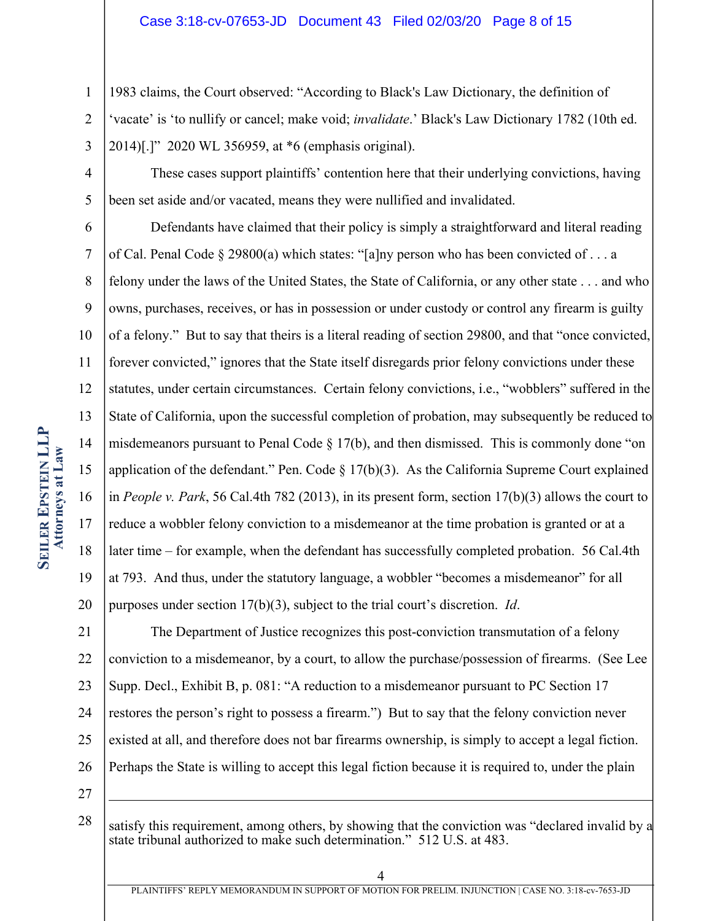#### Case 3:18-cv-07653-JD Document 43 Filed 02/03/20 Page 8 of 15

1983 claims, the Court observed: "According to Black's Law Dictionary, the definition of

2 3 'vacate' is 'to nullify or cancel; make void; *invalidate*.' Black's Law Dictionary 1782 (10th ed. 2014)[.]" 2020 WL 356959, at \*6 (emphasis original).

4

5

1

These cases support plaintiffs' contention here that their underlying convictions, having been set aside and/or vacated, means they were nullified and invalidated.

6 7 8 9 10 11 12 13 14 15 16 17 18 19 20 Defendants have claimed that their policy is simply a straightforward and literal reading of Cal. Penal Code § 29800(a) which states: "[a]ny person who has been convicted of ... a felony under the laws of the United States, the State of California, or any other state . . . and who owns, purchases, receives, or has in possession or under custody or control any firearm is guilty of a felony." But to say that theirs is a literal reading of section 29800, and that "once convicted, forever convicted," ignores that the State itself disregards prior felony convictions under these statutes, under certain circumstances. Certain felony convictions, i.e., "wobblers" suffered in the State of California, upon the successful completion of probation, may subsequently be reduced to misdemeanors pursuant to Penal Code § 17(b), and then dismissed. This is commonly done "on application of the defendant." Pen. Code  $\S 17(b)(3)$ . As the California Supreme Court explained in *People v. Park*, 56 Cal.4th 782 (2013), in its present form, section 17(b)(3) allows the court to reduce a wobbler felony conviction to a misdemeanor at the time probation is granted or at a later time – for example, when the defendant has successfully completed probation. 56 Cal.4th at 793. And thus, under the statutory language, a wobbler "becomes a misdemeanor" for all purposes under section 17(b)(3), subject to the trial court's discretion. *Id*.

21 22 23 24 25 26 The Department of Justice recognizes this post-conviction transmutation of a felony conviction to a misdemeanor, by a court, to allow the purchase/possession of firearms. (See Lee Supp. Decl., Exhibit B, p. 081: "A reduction to a misdemeanor pursuant to PC Section 17 restores the person's right to possess a firearm.") But to say that the felony conviction never existed at all, and therefore does not bar firearms ownership, is simply to accept a legal fiction. Perhaps the State is willing to accept this legal fiction because it is required to, under the plain

27

28 satisfy this requirement, among others, by showing that the conviction was "declared invalid by a state tribunal authorized to make such determination." 512 U.S. at 483.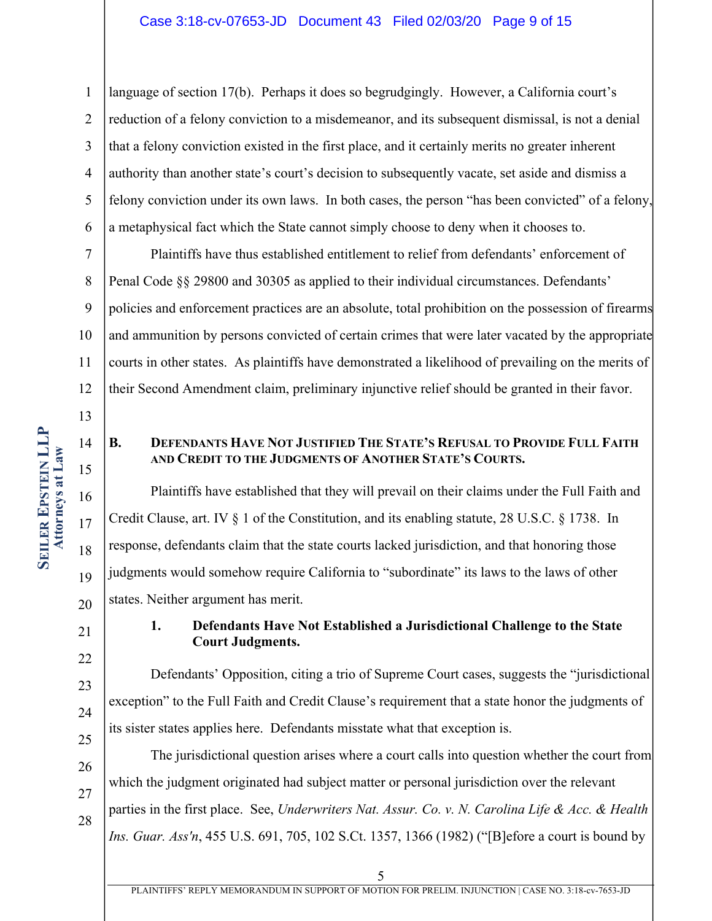#### Case 3:18-cv-07653-JD Document 43 Filed 02/03/20 Page 9 of 15

1 2 3 4 5 6 language of section 17(b). Perhaps it does so begrudgingly. However, a California court's reduction of a felony conviction to a misdemeanor, and its subsequent dismissal, is not a denial that a felony conviction existed in the first place, and it certainly merits no greater inherent authority than another state's court's decision to subsequently vacate, set aside and dismiss a felony conviction under its own laws. In both cases, the person "has been convicted" of a felony, a metaphysical fact which the State cannot simply choose to deny when it chooses to.

7 8 9 10 11 12 Plaintiffs have thus established entitlement to relief from defendants' enforcement of Penal Code §§ 29800 and 30305 as applied to their individual circumstances. Defendants' policies and enforcement practices are an absolute, total prohibition on the possession of firearms and ammunition by persons convicted of certain crimes that were later vacated by the appropriate courts in other states. As plaintiffs have demonstrated a likelihood of prevailing on the merits of their Second Amendment claim, preliminary injunctive relief should be granted in their favor.

14

15

21

22

23

24

25

13

### **B. DEFENDANTS HAVE NOT JUSTIFIED THE STATE'S REFUSAL TO PROVIDE FULL FAITH AND CREDIT TO THE JUDGMENTS OF ANOTHER STATE'S COURTS.**

16 17 18 19 20 Plaintiffs have established that they will prevail on their claims under the Full Faith and Credit Clause, art. IV § 1 of the Constitution, and its enabling statute, 28 U.S.C. § 1738. In response, defendants claim that the state courts lacked jurisdiction, and that honoring those judgments would somehow require California to "subordinate" its laws to the laws of other states. Neither argument has merit.

## **1. Defendants Have Not Established a Jurisdictional Challenge to the State Court Judgments.**

Defendants' Opposition, citing a trio of Supreme Court cases, suggests the "jurisdictional exception" to the Full Faith and Credit Clause's requirement that a state honor the judgments of its sister states applies here. Defendants misstate what that exception is.

26 27 28 The jurisdictional question arises where a court calls into question whether the court from which the judgment originated had subject matter or personal jurisdiction over the relevant parties in the first place. See, *Underwriters Nat. Assur. Co. v. N. Carolina Life & Acc. & Health Ins. Guar. Ass'n*, 455 U.S. 691, 705, 102 S.Ct. 1357, 1366 (1982) ("[B]efore a court is bound by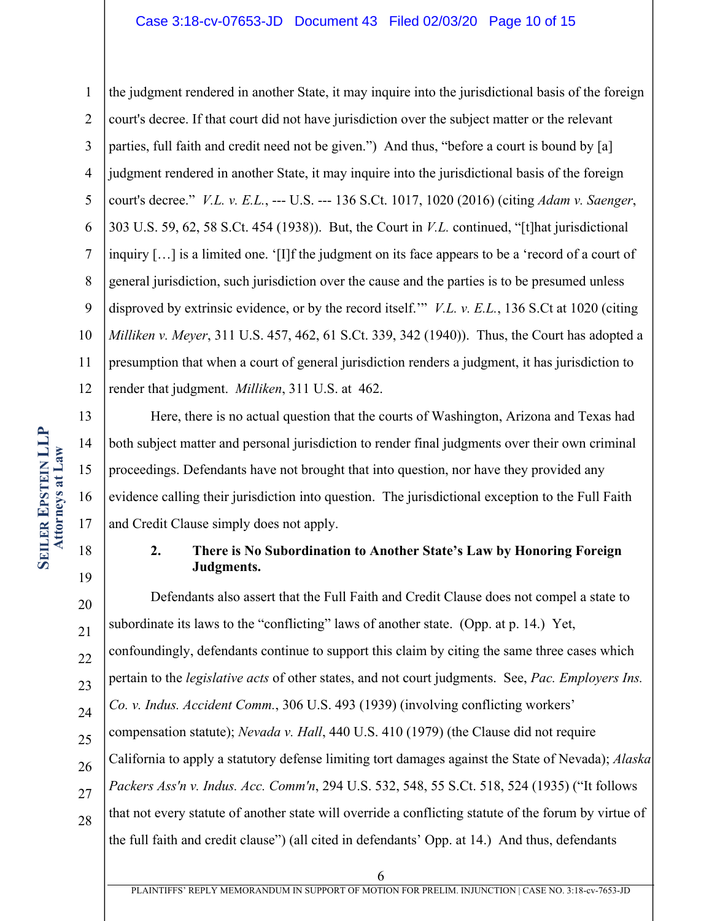### Case 3:18-cv-07653-JD Document 43 Filed 02/03/20 Page 10 of 15

1 2 3 4 5 6 7 8 9 10 11 12 the judgment rendered in another State, it may inquire into the jurisdictional basis of the foreign court's decree. If that court did not have jurisdiction over the subject matter or the relevant parties, full faith and credit need not be given.") And thus, "before a court is bound by [a] judgment rendered in another State, it may inquire into the jurisdictional basis of the foreign court's decree." *V.L. v. E.L.*, --- U.S. --- 136 S.Ct. 1017, 1020 (2016) (citing *Adam v. Saenger*, 303 U.S. 59, 62, 58 S.Ct. 454 (1938)). But, the Court in *V.L.* continued, "[t]hat jurisdictional inquiry […] is a limited one. '[I]f the judgment on its face appears to be a 'record of a court of general jurisdiction, such jurisdiction over the cause and the parties is to be presumed unless disproved by extrinsic evidence, or by the record itself.'" *V.L. v. E.L.*, 136 S.Ct at 1020 (citing *Milliken v. Meyer*, 311 U.S. 457, 462, 61 S.Ct. 339, 342 (1940)). Thus, the Court has adopted a presumption that when a court of general jurisdiction renders a judgment, it has jurisdiction to render that judgment. *Milliken*, 311 U.S. at 462.

13 14 15 16 17 Here, there is no actual question that the courts of Washington, Arizona and Texas had both subject matter and personal jurisdiction to render final judgments over their own criminal proceedings. Defendants have not brought that into question, nor have they provided any evidence calling their jurisdiction into question. The jurisdictional exception to the Full Faith and Credit Clause simply does not apply.

# **2. There is No Subordination to Another State's Law by Honoring Foreign Judgments.**

20 21 22 23 24 25 26 27 28 Defendants also assert that the Full Faith and Credit Clause does not compel a state to subordinate its laws to the "conflicting" laws of another state. (Opp. at p. 14.) Yet, confoundingly, defendants continue to support this claim by citing the same three cases which pertain to the *legislative acts* of other states, and not court judgments. See, *Pac. Employers Ins. Co. v. Indus. Accident Comm.*, 306 U.S. 493 (1939) (involving conflicting workers' compensation statute); *Nevada v. Hall*, 440 U.S. 410 (1979) (the Clause did not require California to apply a statutory defense limiting tort damages against the State of Nevada); *Alaska Packers Ass'n v. Indus. Acc. Comm'n*, 294 U.S. 532, 548, 55 S.Ct. 518, 524 (1935) ("It follows that not every statute of another state will override a conflicting statute of the forum by virtue of the full faith and credit clause") (all cited in defendants' Opp. at 14.) And thus, defendants

18

19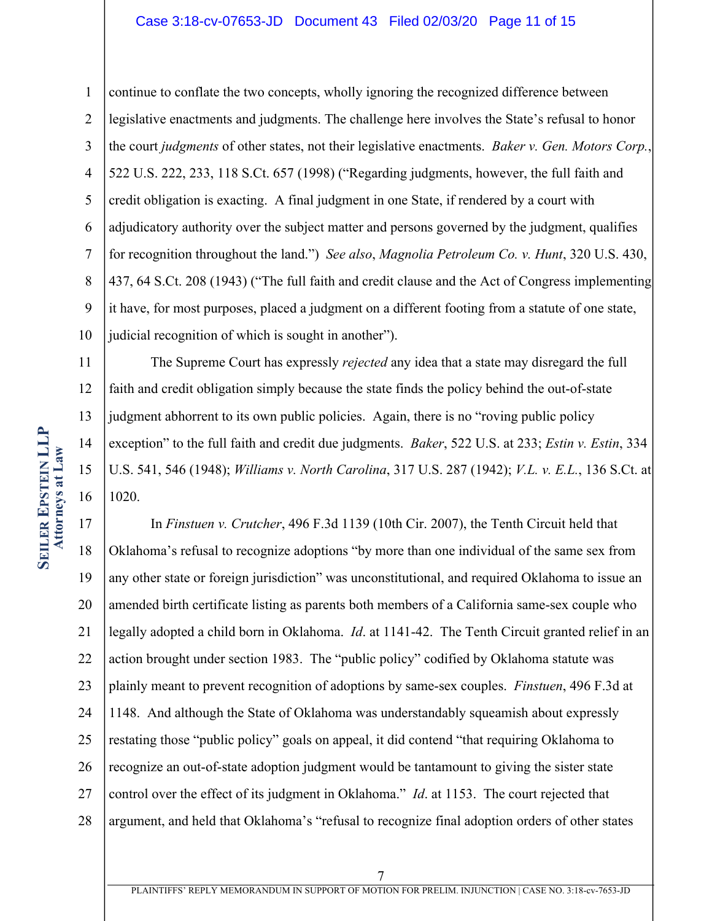#### Case 3:18-cv-07653-JD Document 43 Filed 02/03/20 Page 11 of 15

1 2 3 4 5 6 7 8 9 10 11 continue to conflate the two concepts, wholly ignoring the recognized difference between legislative enactments and judgments. The challenge here involves the State's refusal to honor the court *judgments* of other states, not their legislative enactments. *Baker v. Gen. Motors Corp.*, 522 U.S. 222, 233, 118 S.Ct. 657 (1998) ("Regarding judgments, however, the full faith and credit obligation is exacting. A final judgment in one State, if rendered by a court with adjudicatory authority over the subject matter and persons governed by the judgment, qualifies for recognition throughout the land.") *See also*, *Magnolia Petroleum Co. v. Hunt*, 320 U.S. 430, 437, 64 S.Ct. 208 (1943) ("The full faith and credit clause and the Act of Congress implementing it have, for most purposes, placed a judgment on a different footing from a statute of one state, judicial recognition of which is sought in another"). The Supreme Court has expressly *rejected* any idea that a state may disregard the full

12 13 14 15 16 faith and credit obligation simply because the state finds the policy behind the out-of-state judgment abhorrent to its own public policies. Again, there is no "roving public policy exception" to the full faith and credit due judgments. *Baker*, 522 U.S. at 233; *Estin v. Estin*, 334 U.S. 541, 546 (1948); *Williams v. North Carolina*, 317 U.S. 287 (1942); *V.L. v. E.L.*, 136 S.Ct. at 1020.

17 18 19 20 21 22 23 24 25 26 27 28 In *Finstuen v. Crutcher*, 496 F.3d 1139 (10th Cir. 2007), the Tenth Circuit held that Oklahoma's refusal to recognize adoptions "by more than one individual of the same sex from any other state or foreign jurisdiction" was unconstitutional, and required Oklahoma to issue an amended birth certificate listing as parents both members of a California same-sex couple who legally adopted a child born in Oklahoma. *Id*. at 1141-42. The Tenth Circuit granted relief in an action brought under section 1983. The "public policy" codified by Oklahoma statute was plainly meant to prevent recognition of adoptions by same-sex couples. *Finstuen*, 496 F.3d at 1148. And although the State of Oklahoma was understandably squeamish about expressly restating those "public policy" goals on appeal, it did contend "that requiring Oklahoma to recognize an out-of-state adoption judgment would be tantamount to giving the sister state control over the effect of its judgment in Oklahoma." *Id*. at 1153. The court rejected that argument, and held that Oklahoma's "refusal to recognize final adoption orders of other states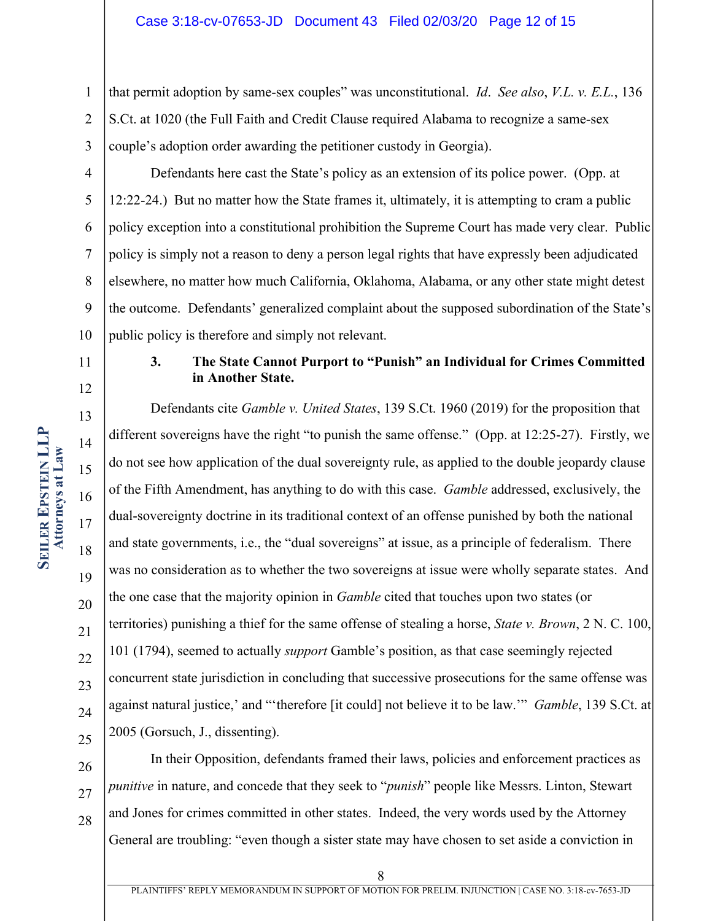1 2 3 that permit adoption by same-sex couples" was unconstitutional. *Id*. *See also*, *V.L. v. E.L.*, 136 S.Ct. at 1020 (the Full Faith and Credit Clause required Alabama to recognize a same-sex couple's adoption order awarding the petitioner custody in Georgia).

4 5 6 7 8 9 10 Defendants here cast the State's policy as an extension of its police power. (Opp. at 12:22-24.) But no matter how the State frames it, ultimately, it is attempting to cram a public policy exception into a constitutional prohibition the Supreme Court has made very clear. Public policy is simply not a reason to deny a person legal rights that have expressly been adjudicated elsewhere, no matter how much California, Oklahoma, Alabama, or any other state might detest the outcome. Defendants' generalized complaint about the supposed subordination of the State's public policy is therefore and simply not relevant.

# **3. The State Cannot Purport to "Punish" an Individual for Crimes Committed in Another State.**

Defendants cite *Gamble v. United States*, 139 S.Ct. 1960 (2019) for the proposition that different sovereigns have the right "to punish the same offense." (Opp. at 12:25-27). Firstly, we do not see how application of the dual sovereignty rule, as applied to the double jeopardy clause of the Fifth Amendment, has anything to do with this case. *Gamble* addressed, exclusively, the dual-sovereignty doctrine in its traditional context of an offense punished by both the national and state governments, i.e., the "dual sovereigns" at issue, as a principle of federalism. There was no consideration as to whether the two sovereigns at issue were wholly separate states. And the one case that the majority opinion in *Gamble* cited that touches upon two states (or territories) punishing a thief for the same offense of stealing a horse, *State v. Brown*, 2 N. C. 100, 101 (1794), seemed to actually *support* Gamble's position, as that case seemingly rejected concurrent state jurisdiction in concluding that successive prosecutions for the same offense was against natural justice,' and "'therefore [it could] not believe it to be law.'" *Gamble*, 139 S.Ct. at 2005 (Gorsuch, J., dissenting).

26 27 28 In their Opposition, defendants framed their laws, policies and enforcement practices as *punitive* in nature, and concede that they seek to "*punish*" people like Messrs. Linton, Stewart and Jones for crimes committed in other states. Indeed, the very words used by the Attorney General are troubling: "even though a sister state may have chosen to set aside a conviction in

11

12

13

14

15

16

17

18

19

20

21

22

23

24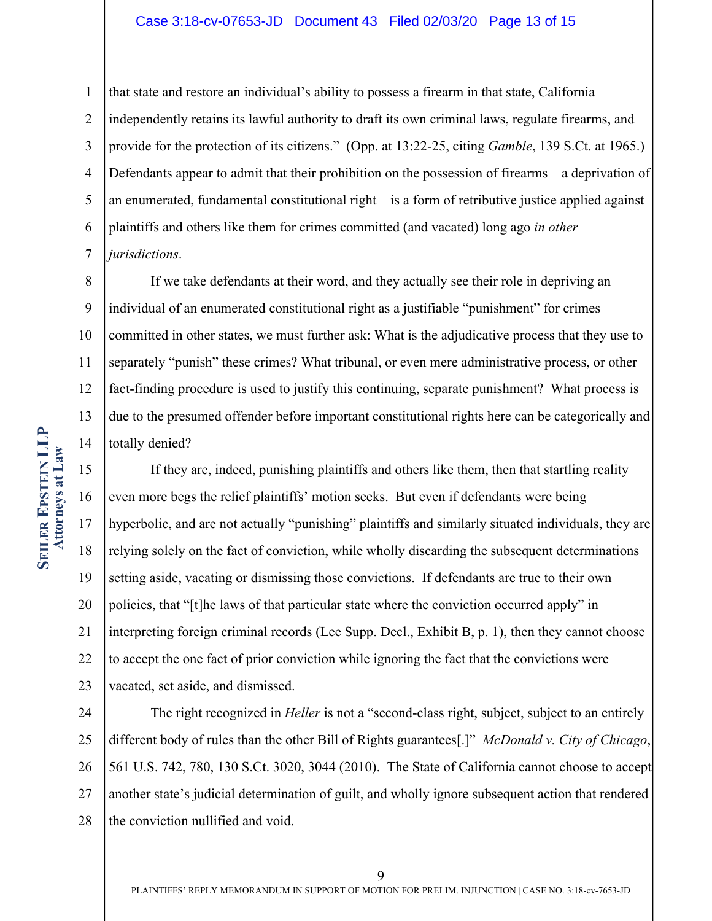#### Case 3:18-cv-07653-JD Document 43 Filed 02/03/20 Page 13 of 15

1 2 3 4 5 6 7 that state and restore an individual's ability to possess a firearm in that state, California independently retains its lawful authority to draft its own criminal laws, regulate firearms, and provide for the protection of its citizens." (Opp. at 13:22-25, citing *Gamble*, 139 S.Ct. at 1965.) Defendants appear to admit that their prohibition on the possession of firearms – a deprivation of an enumerated, fundamental constitutional right – is a form of retributive justice applied against plaintiffs and others like them for crimes committed (and vacated) long ago *in other jurisdictions*.

8 9 10 11 12 13 14 If we take defendants at their word, and they actually see their role in depriving an individual of an enumerated constitutional right as a justifiable "punishment" for crimes committed in other states, we must further ask: What is the adjudicative process that they use to separately "punish" these crimes? What tribunal, or even mere administrative process, or other fact-finding procedure is used to justify this continuing, separate punishment? What process is due to the presumed offender before important constitutional rights here can be categorically and totally denied?

15 16 17 18 19 20 21 22 23 If they are, indeed, punishing plaintiffs and others like them, then that startling reality even more begs the relief plaintiffs' motion seeks. But even if defendants were being hyperbolic, and are not actually "punishing" plaintiffs and similarly situated individuals, they are relying solely on the fact of conviction, while wholly discarding the subsequent determinations setting aside, vacating or dismissing those convictions. If defendants are true to their own policies, that "[t]he laws of that particular state where the conviction occurred apply" in interpreting foreign criminal records (Lee Supp. Decl., Exhibit B, p. 1), then they cannot choose to accept the one fact of prior conviction while ignoring the fact that the convictions were vacated, set aside, and dismissed.

24 25 26 27 28 The right recognized in *Heller* is not a "second-class right, subject, subject to an entirely different body of rules than the other Bill of Rights guarantees[.]" *McDonald v. City of Chicago*, 561 U.S. 742, 780, 130 S.Ct. 3020, 3044 (2010). The State of California cannot choose to accept another state's judicial determination of guilt, and wholly ignore subsequent action that rendered the conviction nullified and void.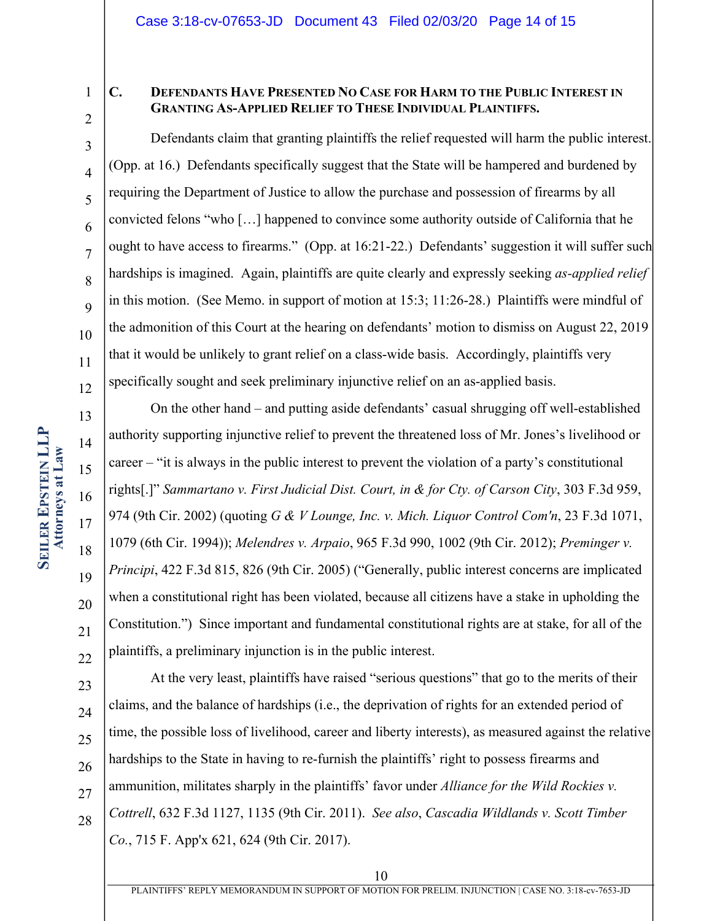1 2

3

4

5

6

7

8

 $\overline{Q}$ 

10

11

12

13

14

15

16

17

18

19

20

21

22

# **C. DEFENDANTS HAVE PRESENTED NO CASE FOR HARM TO THE PUBLIC INTEREST IN GRANTING AS-APPLIED RELIEF TO THESE INDIVIDUAL PLAINTIFFS.**

Defendants claim that granting plaintiffs the relief requested will harm the public interest. (Opp. at 16.) Defendants specifically suggest that the State will be hampered and burdened by requiring the Department of Justice to allow the purchase and possession of firearms by all convicted felons "who […] happened to convince some authority outside of California that he ought to have access to firearms." (Opp. at 16:21-22.) Defendants' suggestion it will suffer such hardships is imagined. Again, plaintiffs are quite clearly and expressly seeking *as-applied relief* in this motion. (See Memo. in support of motion at 15:3; 11:26-28.) Plaintiffs were mindful of the admonition of this Court at the hearing on defendants' motion to dismiss on August 22, 2019 that it would be unlikely to grant relief on a class-wide basis. Accordingly, plaintiffs very specifically sought and seek preliminary injunctive relief on an as-applied basis.

On the other hand – and putting aside defendants' casual shrugging off well-established authority supporting injunctive relief to prevent the threatened loss of Mr. Jones's livelihood or career – "it is always in the public interest to prevent the violation of a party's constitutional rights[.]" *Sammartano v. First Judicial Dist. Court, in & for Cty. of Carson City*, 303 F.3d 959, 974 (9th Cir. 2002) (quoting *G & V Lounge, Inc. v. Mich. Liquor Control Com'n*, 23 F.3d 1071, 1079 (6th Cir. 1994)); *Melendres v. Arpaio*, 965 F.3d 990, 1002 (9th Cir. 2012); *Preminger v. Principi*, 422 F.3d 815, 826 (9th Cir. 2005) ("Generally, public interest concerns are implicated when a constitutional right has been violated, because all citizens have a stake in upholding the Constitution.") Since important and fundamental constitutional rights are at stake, for all of the plaintiffs, a preliminary injunction is in the public interest.

23 24 25 26 27 28 At the very least, plaintiffs have raised "serious questions" that go to the merits of their claims, and the balance of hardships (i.e., the deprivation of rights for an extended period of time, the possible loss of livelihood, career and liberty interests), as measured against the relative hardships to the State in having to re-furnish the plaintiffs' right to possess firearms and ammunition, militates sharply in the plaintiffs' favor under *Alliance for the Wild Rockies v. Cottrell*, 632 F.3d 1127, 1135 (9th Cir. 2011). *See also*, *Cascadia Wildlands v. Scott Timber Co.*, 715 F. App'x 621, 624 (9th Cir. 2017).